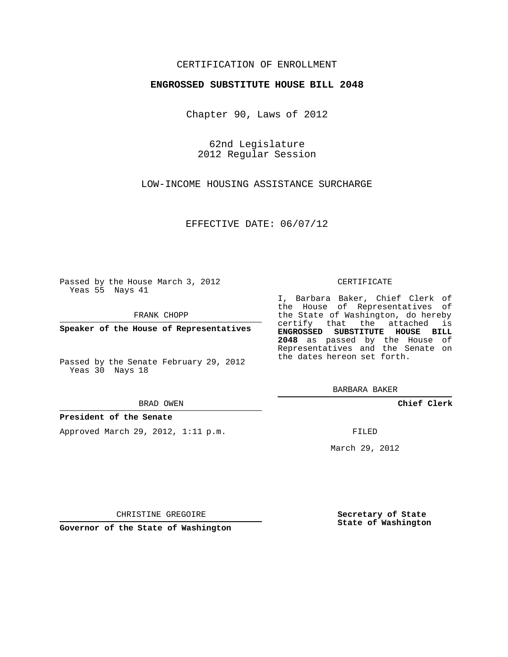# CERTIFICATION OF ENROLLMENT

## **ENGROSSED SUBSTITUTE HOUSE BILL 2048**

Chapter 90, Laws of 2012

62nd Legislature 2012 Regular Session

LOW-INCOME HOUSING ASSISTANCE SURCHARGE

EFFECTIVE DATE: 06/07/12

Passed by the House March 3, 2012 Yeas 55 Nays 41

FRANK CHOPP

**Speaker of the House of Representatives**

Passed by the Senate February 29, 2012 Yeas 30 Nays 18

#### BRAD OWEN

### **President of the Senate**

Approved March 29, 2012, 1:11 p.m.

#### CERTIFICATE

I, Barbara Baker, Chief Clerk of the House of Representatives of the State of Washington, do hereby certify that the attached is **ENGROSSED SUBSTITUTE HOUSE BILL 2048** as passed by the House of Representatives and the Senate on the dates hereon set forth.

BARBARA BAKER

**Chief Clerk**

FILED

March 29, 2012

**Governor of the State of Washington**

CHRISTINE GREGOIRE

**Secretary of State State of Washington**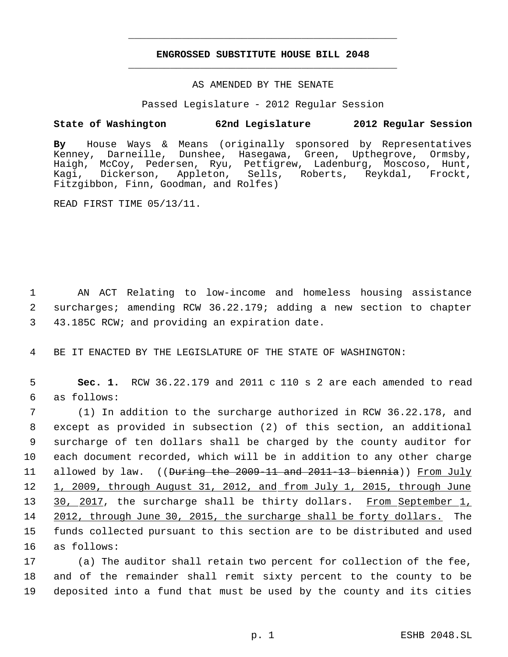# **ENGROSSED SUBSTITUTE HOUSE BILL 2048** \_\_\_\_\_\_\_\_\_\_\_\_\_\_\_\_\_\_\_\_\_\_\_\_\_\_\_\_\_\_\_\_\_\_\_\_\_\_\_\_\_\_\_\_\_

\_\_\_\_\_\_\_\_\_\_\_\_\_\_\_\_\_\_\_\_\_\_\_\_\_\_\_\_\_\_\_\_\_\_\_\_\_\_\_\_\_\_\_\_\_

## AS AMENDED BY THE SENATE

Passed Legislature - 2012 Regular Session

# **State of Washington 62nd Legislature 2012 Regular Session**

**By** House Ways & Means (originally sponsored by Representatives Kenney, Darneille, Dunshee, Hasegawa, Green, Upthegrove, Ormsby, Haigh, McCoy, Pedersen, Ryu, Pettigrew, Ladenburg, Moscoso, Hunt, Kagi, Dickerson, Appleton, Sells, Roberts, Reykdal, Frockt, Kagi, Dickerson, Appleton, Sells,<br>Fitzgibbon, Finn, Goodman, and Rolfes)

READ FIRST TIME 05/13/11.

 1 AN ACT Relating to low-income and homeless housing assistance 2 surcharges; amending RCW 36.22.179; adding a new section to chapter 3 43.185C RCW; and providing an expiration date.

4 BE IT ENACTED BY THE LEGISLATURE OF THE STATE OF WASHINGTON:

 5 **Sec. 1.** RCW 36.22.179 and 2011 c 110 s 2 are each amended to read 6 as follows:

 (1) In addition to the surcharge authorized in RCW 36.22.178, and except as provided in subsection (2) of this section, an additional surcharge of ten dollars shall be charged by the county auditor for each document recorded, which will be in addition to any other charge 11 allowed by law. ((<del>During the 2009-11 and 2011-13 biennia</del>)) From July 1, 2009, through August 31, 2012, and from July 1, 2015, through June 13 30, 2017, the surcharge shall be thirty dollars. From September 1, 14 2012, through June 30, 2015, the surcharge shall be forty dollars. The funds collected pursuant to this section are to be distributed and used as follows:

17 (a) The auditor shall retain two percent for collection of the fee, 18 and of the remainder shall remit sixty percent to the county to be 19 deposited into a fund that must be used by the county and its cities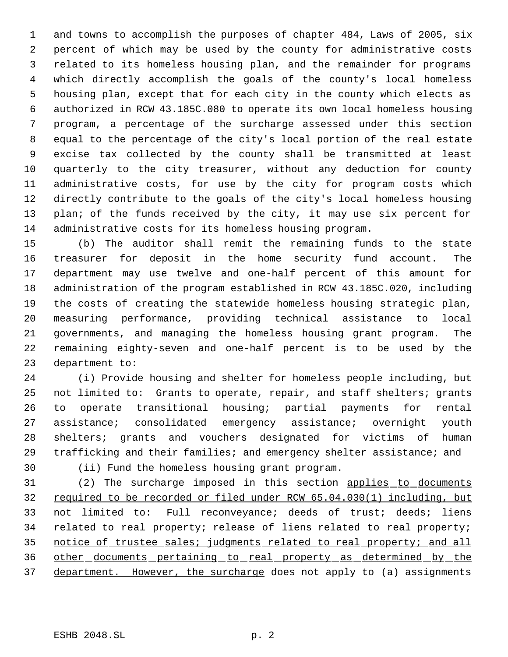and towns to accomplish the purposes of chapter 484, Laws of 2005, six percent of which may be used by the county for administrative costs related to its homeless housing plan, and the remainder for programs which directly accomplish the goals of the county's local homeless housing plan, except that for each city in the county which elects as authorized in RCW 43.185C.080 to operate its own local homeless housing program, a percentage of the surcharge assessed under this section equal to the percentage of the city's local portion of the real estate excise tax collected by the county shall be transmitted at least quarterly to the city treasurer, without any deduction for county administrative costs, for use by the city for program costs which directly contribute to the goals of the city's local homeless housing 13 plan; of the funds received by the city, it may use six percent for administrative costs for its homeless housing program.

 (b) The auditor shall remit the remaining funds to the state treasurer for deposit in the home security fund account. The department may use twelve and one-half percent of this amount for administration of the program established in RCW 43.185C.020, including the costs of creating the statewide homeless housing strategic plan, measuring performance, providing technical assistance to local governments, and managing the homeless housing grant program. The remaining eighty-seven and one-half percent is to be used by the department to:

 (i) Provide housing and shelter for homeless people including, but not limited to: Grants to operate, repair, and staff shelters; grants to operate transitional housing; partial payments for rental assistance; consolidated emergency assistance; overnight youth shelters; grants and vouchers designated for victims of human trafficking and their families; and emergency shelter assistance; and

(ii) Fund the homeless housing grant program.

31 (2) The surcharge imposed in this section applies to documents 32 required to be recorded or filed under RCW 65.04.030(1) including, but 33 not limited to: Full reconveyance; deeds of trust; deeds; liens 34 related to real property; release of liens related to real property; 35 notice of trustee sales; judgments related to real property; and all other documents pertaining to real property as determined by the department. However, the surcharge does not apply to (a) assignments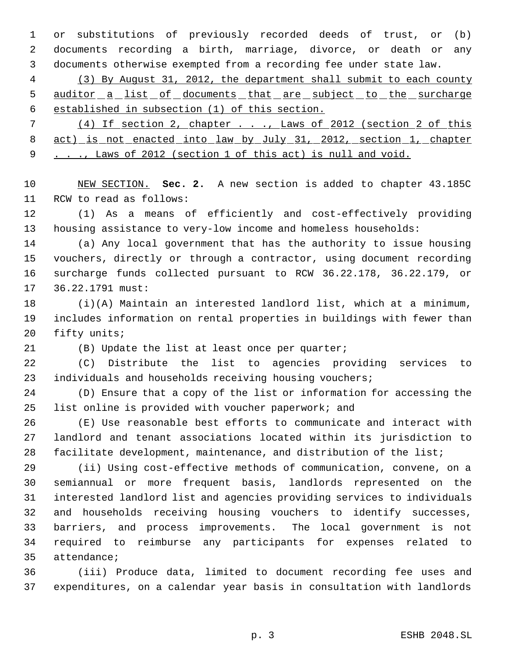or substitutions of previously recorded deeds of trust, or (b) documents recording a birth, marriage, divorce, or death or any documents otherwise exempted from a recording fee under state law.

 (3) By August 31, 2012, the department shall submit to each county 5 auditor a list of documents that are subject to the surcharge established in subsection (1) of this section.

 (4) If section 2, chapter . . ., Laws of 2012 (section 2 of this 8 act) is not enacted into law by July 31, 2012, section 1, chapter . . ., Laws of 2012 (section 1 of this act) is null and void.

 NEW SECTION. **Sec. 2.** A new section is added to chapter 43.185C RCW to read as follows:

 (1) As a means of efficiently and cost-effectively providing housing assistance to very-low income and homeless households:

 (a) Any local government that has the authority to issue housing vouchers, directly or through a contractor, using document recording surcharge funds collected pursuant to RCW 36.22.178, 36.22.179, or 36.22.1791 must:

 (i)(A) Maintain an interested landlord list, which at a minimum, includes information on rental properties in buildings with fewer than fifty units;

(B) Update the list at least once per quarter;

 (C) Distribute the list to agencies providing services to individuals and households receiving housing vouchers;

 (D) Ensure that a copy of the list or information for accessing the list online is provided with voucher paperwork; and

 (E) Use reasonable best efforts to communicate and interact with landlord and tenant associations located within its jurisdiction to facilitate development, maintenance, and distribution of the list;

 (ii) Using cost-effective methods of communication, convene, on a semiannual or more frequent basis, landlords represented on the interested landlord list and agencies providing services to individuals and households receiving housing vouchers to identify successes, barriers, and process improvements. The local government is not required to reimburse any participants for expenses related to attendance;

 (iii) Produce data, limited to document recording fee uses and expenditures, on a calendar year basis in consultation with landlords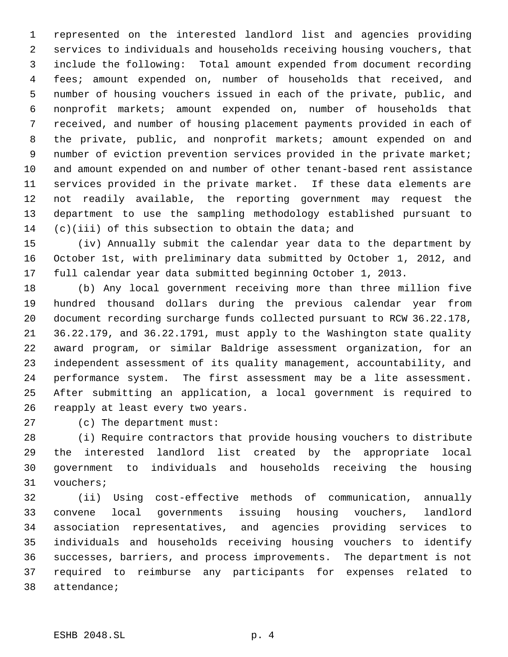represented on the interested landlord list and agencies providing services to individuals and households receiving housing vouchers, that include the following: Total amount expended from document recording fees; amount expended on, number of households that received, and number of housing vouchers issued in each of the private, public, and nonprofit markets; amount expended on, number of households that received, and number of housing placement payments provided in each of the private, public, and nonprofit markets; amount expended on and 9 number of eviction prevention services provided in the private market; and amount expended on and number of other tenant-based rent assistance services provided in the private market. If these data elements are not readily available, the reporting government may request the department to use the sampling methodology established pursuant to (c)(iii) of this subsection to obtain the data; and

 (iv) Annually submit the calendar year data to the department by October 1st, with preliminary data submitted by October 1, 2012, and full calendar year data submitted beginning October 1, 2013.

 (b) Any local government receiving more than three million five hundred thousand dollars during the previous calendar year from document recording surcharge funds collected pursuant to RCW 36.22.178, 36.22.179, and 36.22.1791, must apply to the Washington state quality award program, or similar Baldrige assessment organization, for an independent assessment of its quality management, accountability, and performance system. The first assessment may be a lite assessment. After submitting an application, a local government is required to reapply at least every two years.

(c) The department must:

 (i) Require contractors that provide housing vouchers to distribute the interested landlord list created by the appropriate local government to individuals and households receiving the housing vouchers;

 (ii) Using cost-effective methods of communication, annually convene local governments issuing housing vouchers, landlord association representatives, and agencies providing services to individuals and households receiving housing vouchers to identify successes, barriers, and process improvements. The department is not required to reimburse any participants for expenses related to attendance;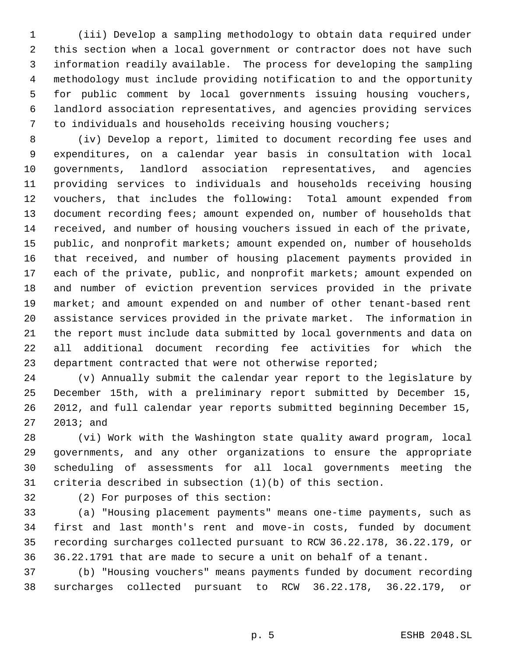(iii) Develop a sampling methodology to obtain data required under this section when a local government or contractor does not have such information readily available. The process for developing the sampling methodology must include providing notification to and the opportunity for public comment by local governments issuing housing vouchers, landlord association representatives, and agencies providing services to individuals and households receiving housing vouchers;

 (iv) Develop a report, limited to document recording fee uses and expenditures, on a calendar year basis in consultation with local governments, landlord association representatives, and agencies providing services to individuals and households receiving housing vouchers, that includes the following: Total amount expended from document recording fees; amount expended on, number of households that received, and number of housing vouchers issued in each of the private, public, and nonprofit markets; amount expended on, number of households that received, and number of housing placement payments provided in 17 each of the private, public, and nonprofit markets; amount expended on and number of eviction prevention services provided in the private 19 market; and amount expended on and number of other tenant-based rent assistance services provided in the private market. The information in the report must include data submitted by local governments and data on all additional document recording fee activities for which the department contracted that were not otherwise reported;

 (v) Annually submit the calendar year report to the legislature by December 15th, with a preliminary report submitted by December 15, 2012, and full calendar year reports submitted beginning December 15, 2013; and

 (vi) Work with the Washington state quality award program, local governments, and any other organizations to ensure the appropriate scheduling of assessments for all local governments meeting the criteria described in subsection (1)(b) of this section.

(2) For purposes of this section:

 (a) "Housing placement payments" means one-time payments, such as first and last month's rent and move-in costs, funded by document recording surcharges collected pursuant to RCW 36.22.178, 36.22.179, or 36.22.1791 that are made to secure a unit on behalf of a tenant.

 (b) "Housing vouchers" means payments funded by document recording surcharges collected pursuant to RCW 36.22.178, 36.22.179, or